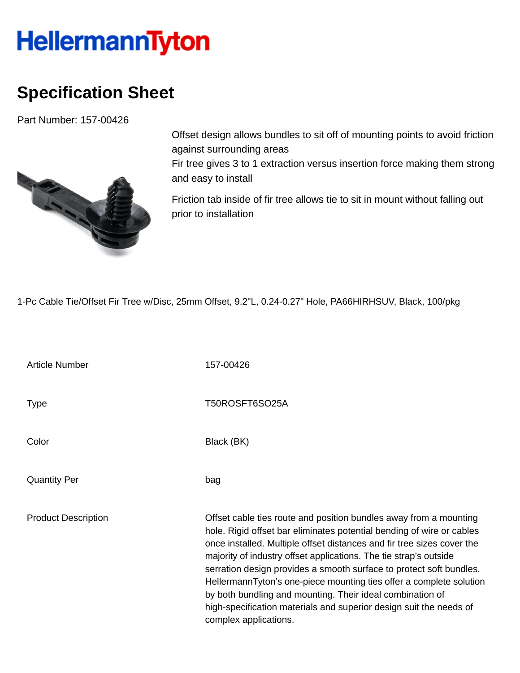## **HellermannTyton**

## **Specification Sheet**

Part Number: 157-00426



Offset design allows bundles to sit off of mounting points to avoid friction against surrounding areas Fir tree gives 3 to 1 extraction versus insertion force making them strong and easy to install

Friction tab inside of fir tree allows tie to sit in mount without falling out prior to installation

1-Pc Cable Tie/Offset Fir Tree w/Disc, 25mm Offset, 9.2"L, 0.24-0.27" Hole, PA66HIRHSUV, Black, 100/pkg

Article Number 157-00426 Type Type T50ROSFT6SO25A Color Black (BK) Quantity Per bag Product Description **Description** Offset cable ties route and position bundles away from a mounting hole. Rigid offset bar eliminates potential bending of wire or cables once installed. Multiple offset distances and fir tree sizes cover the majority of industry offset applications. The tie strap's outside serration design provides a smooth surface to protect soft bundles. HellermannTyton's one-piece mounting ties offer a complete solution by both bundling and mounting. Their ideal combination of high-specification materials and superior design suit the needs of complex applications.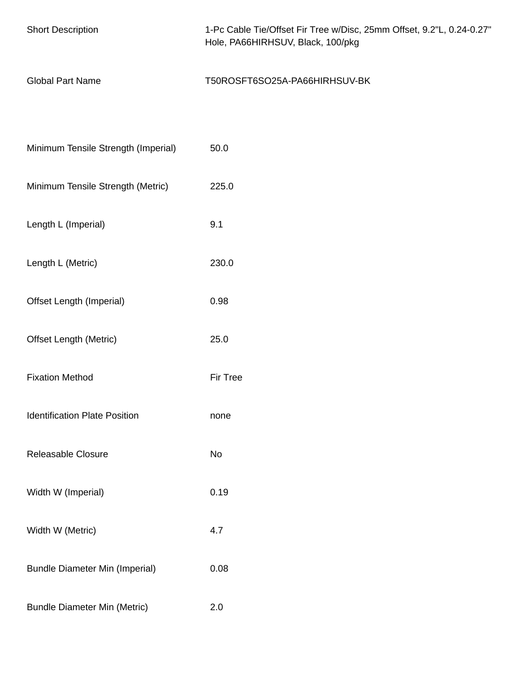| <b>Short Description</b>              | 1-Pc Cable Tie/Offset Fir Tree w/Disc, 25mm Offset, 9.2"L, 0.24-0.27"<br>Hole, PA66HIRHSUV, Black, 100/pkg |
|---------------------------------------|------------------------------------------------------------------------------------------------------------|
| <b>Global Part Name</b>               | T50ROSFT6SO25A-PA66HIRHSUV-BK                                                                              |
|                                       |                                                                                                            |
| Minimum Tensile Strength (Imperial)   | 50.0                                                                                                       |
| Minimum Tensile Strength (Metric)     | 225.0                                                                                                      |
| Length L (Imperial)                   | 9.1                                                                                                        |
| Length L (Metric)                     | 230.0                                                                                                      |
| Offset Length (Imperial)              | 0.98                                                                                                       |
| <b>Offset Length (Metric)</b>         | 25.0                                                                                                       |
| <b>Fixation Method</b>                | Fir Tree                                                                                                   |
| <b>Identification Plate Position</b>  | none                                                                                                       |
| Releasable Closure                    | No                                                                                                         |
| Width W (Imperial)                    | 0.19                                                                                                       |
| Width W (Metric)                      | 4.7                                                                                                        |
| <b>Bundle Diameter Min (Imperial)</b> | 0.08                                                                                                       |
| <b>Bundle Diameter Min (Metric)</b>   | 2.0                                                                                                        |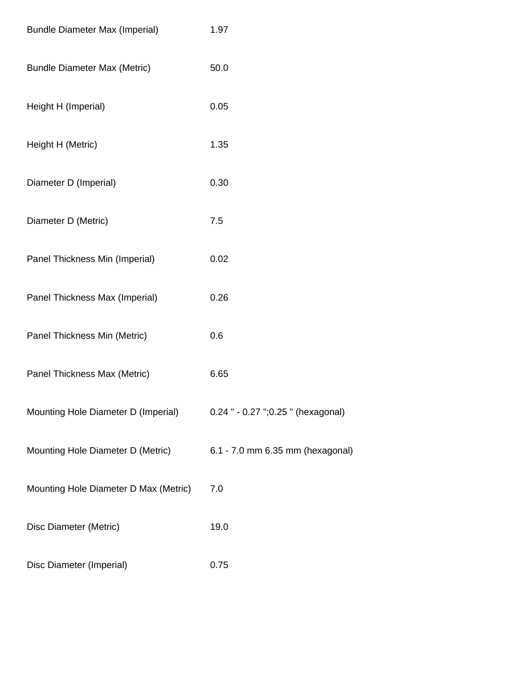| <b>Bundle Diameter Max (Imperial)</b> | 1.97                               |
|---------------------------------------|------------------------------------|
| <b>Bundle Diameter Max (Metric)</b>   | 50.0                               |
| Height H (Imperial)                   | 0.05                               |
| Height H (Metric)                     | 1.35                               |
| Diameter D (Imperial)                 | 0.30                               |
| Diameter D (Metric)                   | 7.5                                |
| Panel Thickness Min (Imperial)        | 0.02                               |
| Panel Thickness Max (Imperial)        | 0.26                               |
| Panel Thickness Min (Metric)          | 0.6                                |
| Panel Thickness Max (Metric)          | 6.65                               |
| Mounting Hole Diameter D (Imperial)   | 0.24 " - 0.27 ";0.25 " (hexagonal) |
| Mounting Hole Diameter D (Metric)     | 6.1 - 7.0 mm 6.35 mm (hexagonal)   |
| Mounting Hole Diameter D Max (Metric) | 7.0                                |
| Disc Diameter (Metric)                | 19.0                               |
| Disc Diameter (Imperial)              | 0.75                               |